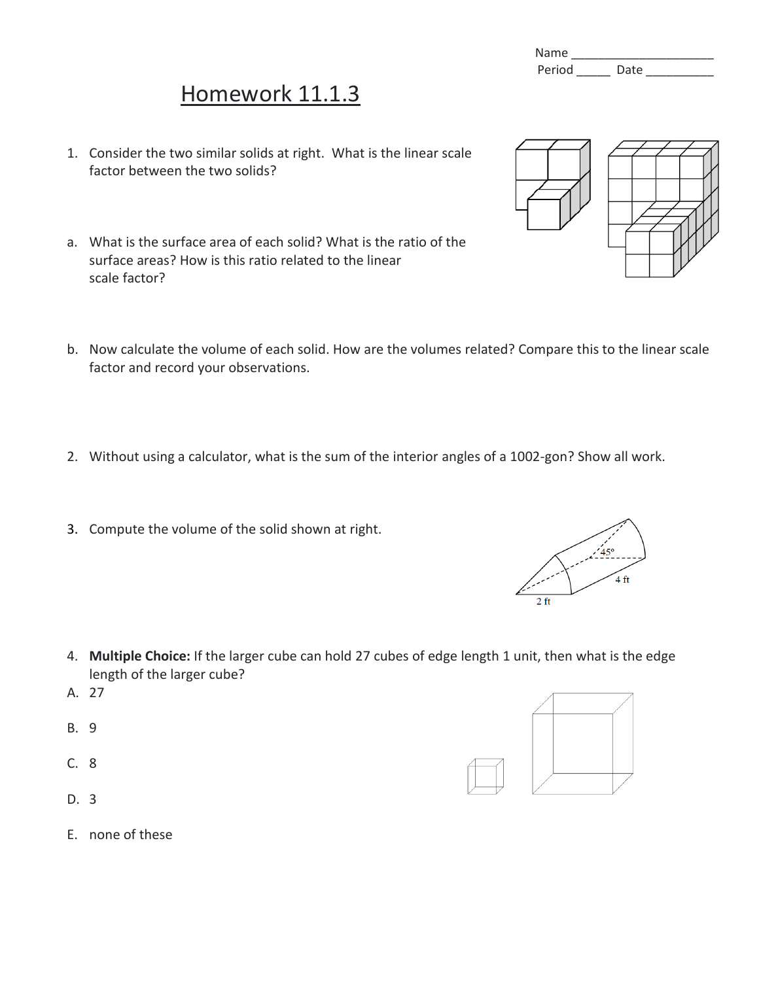## Name Period Date

## Homework 11.1.3

- 1. Consider the two similar solids at right. What is the linear scale factor between the two solids?
- a. What is the surface area of each solid? What is the ratio of the surface areas? How is this ratio related to the linear scale factor?
- b. Now calculate the volume of each solid. How are the volumes related? Compare this to the linear scale factor and record your observations.
- 2. Without using a calculator, what is the sum of the interior angles of a 1002-gon? Show all work.
- 3. Compute the volume of the solid shown at right.

- 4. **Multiple Choice:** If the larger cube can hold 27 cubes of edge length 1 unit, then what is the edge length of the larger cube?
- A. 27
- B. 9
- C. 8
- D. 3
- E. none of these